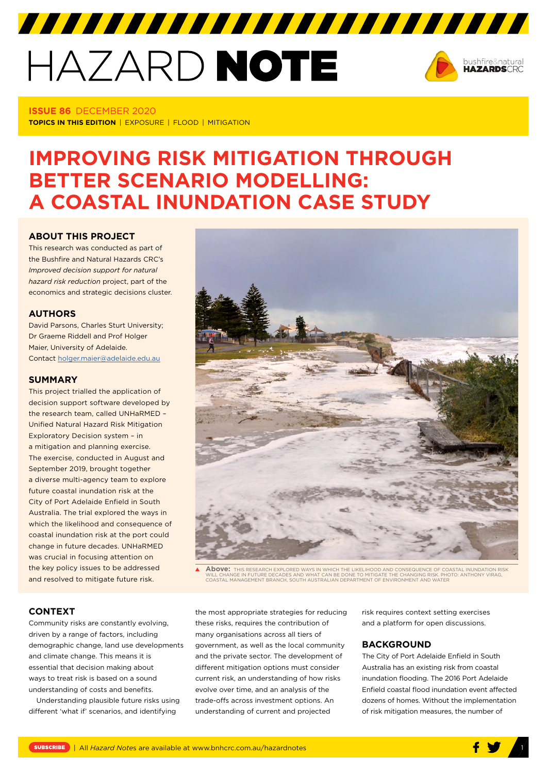# HAZARD NOTE



**ISSUE 86** DECEMBER 2020 **TOPICS IN THIS EDITION** | EXPOSURE | FLOOD | MITIGATION

# **IMPROVING RISK MITIGATION THROUGH BETTER SCENARIO MODELLING: A COASTAL INUNDATION CASE STUDY**

7777777777777777777777777777777

# **ABOUT THIS PROJECT**

This research was conducted as part of the Bushfire and Natural Hazards CRC's *Improved decision support for natural hazard risk reduction* project, part of the economics and strategic decisions cluster.

# **AUTHORS**

David Parsons, Charles Sturt University; Dr Graeme Riddell and Prof Holger Maier, University of Adelaide. Contact [holger.maier@adelaide.edu.au](mailto:holger.maier@adelaide.edu.au)

#### **SUMMARY**

This project trialled the application of decision support software developed by the research team, called UNHaRMED – Unified Natural Hazard Risk Mitigation Exploratory Decision system – in a mitigation and planning exercise. The exercise, conducted in August and September 2019, brought together a diverse multi-agency team to explore future coastal inundation risk at the City of Port Adelaide Enfield in South Australia. The trial explored the ways in which the likelihood and consequence of coastal inundation risk at the port could change in future decades. UNHaRMED was crucial in focusing attention on the key policy issues to be addressed and resolved to mitigate future risk.



**Above:** THIS RESEARCH EXPLORED WAYS IN WHICH THE LIKELIHOOD AND CONSEQUENCE OF COASTAL INUNDATION RISK WILL CHANGE IN FUTURE DECADES AND WHAT CAN BE DONE TO MITIGATE THE CHANGING RISK. PHOTO: ANTHONY VIRAG, WILL CHANGE INTOTORE DECADES AND WHAT CAN BE DONE TO MITIGATE THE CHANGING RISK. FITE<br>COASTAL MANAGEMENT BRANCH, SOUTH AUSTRALIAN DEPARTMENT OF ENVIRONMENT AND WATER

# **CONTEXT**

Community risks are constantly evolving, driven by a range of factors, including demographic change, land use developments and climate change. This means it is essential that decision making about ways to treat risk is based on a sound understanding of costs and benefits.

Understanding plausible future risks using different 'what if' scenarios, and identifying

the most appropriate strategies for reducing these risks, requires the contribution of many organisations across all tiers of government, as well as the local community and the private sector. The development of different mitigation options must consider current risk, an understanding of how risks evolve over time, and an analysis of the trade-offs across investment options. An understanding of current and projected

risk requires context setting exercises and a platform for open discussions.

## **BACKGROUND**

The City of Port Adelaide Enfield in South Australia has an existing risk from coastal inundation flooding. The 2016 Port Adelaide Enfield coastal flood inundation event affected dozens of homes. Without the implementation of risk mitigation measures, the number of

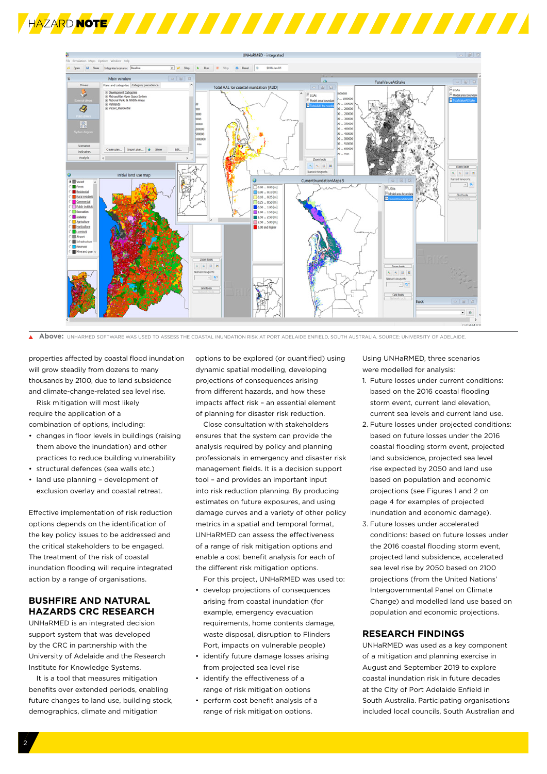



 $\blacktriangle$ **Above:** UNHARMED SOFTWARE WAS USED TO ASSESS THE COASTAL INUNDATION RISK AT PORT ADELAIDE ENFIELD, SOUTH AUSTRALIA. SOURCE: UNIVERSITY OF ADELAIDE.

properties affected by coastal flood inundation will grow steadily from dozens to many thousands by 2100, due to land subsidence and climate-change-related sea level rise.

Risk mitigation will most likely require the application of a combination of options, including:

- changes in floor levels in buildings (raising them above the inundation) and other practices to reduce building vulnerability
- structural defences (sea walls etc.)
- land use planning development of exclusion overlay and coastal retreat.

Effective implementation of risk reduction options depends on the identification of the key policy issues to be addressed and the critical stakeholders to be engaged. The treatment of the risk of coastal inundation flooding will require integrated action by a range of organisations.

# **BUSHFIRE AND NATURAL HAZARDS CRC RESEARCH**

UNHaRMED is an integrated decision support system that was developed by the CRC in partnership with the University of Adelaide and the Research Institute for Knowledge Systems.

It is a tool that measures mitigation benefits over extended periods, enabling future changes to land use, building stock, demographics, climate and mitigation

options to be explored (or quantified) using dynamic spatial modelling, developing projections of consequences arising from different hazards, and how these impacts affect risk – an essential element of planning for disaster risk reduction.

Close consultation with stakeholders ensures that the system can provide the analysis required by policy and planning professionals in emergency and disaster risk management fields. It is a decision support tool – and provides an important input into risk reduction planning. By producing estimates on future exposures, and using damage curves and a variety of other policy metrics in a spatial and temporal format, UNHaRMED can assess the effectiveness of a range of risk mitigation options and enable a cost benefit analysis for each of the different risk mitigation options.

For this project, UNHaRMED was used to:

- develop projections of consequences arising from coastal inundation (for example, emergency evacuation requirements, home contents damage, waste disposal, disruption to Flinders Port, impacts on vulnerable people)
- identify future damage losses arising from projected sea level rise
- identify the effectiveness of a range of risk mitigation options
- perform cost benefit analysis of a range of risk mitigation options.

Using UNHaRMED, three scenarios were modelled for analysis:

- 1. Future losses under current conditions: based on the 2016 coastal flooding storm event, current land elevation, current sea levels and current land use.
- 2. Future losses under projected conditions: based on future losses under the 2016 coastal flooding storm event, projected land subsidence, projected sea level rise expected by 2050 and land use based on population and economic projections (see Figures 1 and 2 on page 4 for examples of projected inundation and economic damage).
- 3. Future losses under accelerated conditions: based on future losses under the 2016 coastal flooding storm event, projected land subsidence, accelerated sea level rise by 2050 based on 2100 projections (from the United Nations' Intergovernmental Panel on Climate Change) and modelled land use based on population and economic projections.

#### **RESEARCH FINDINGS**

UNHaRMED was used as a key component of a mitigation and planning exercise in August and September 2019 to explore coastal inundation risk in future decades at the City of Port Adelaide Enfield in South Australia. Participating organisations included local councils, South Australian and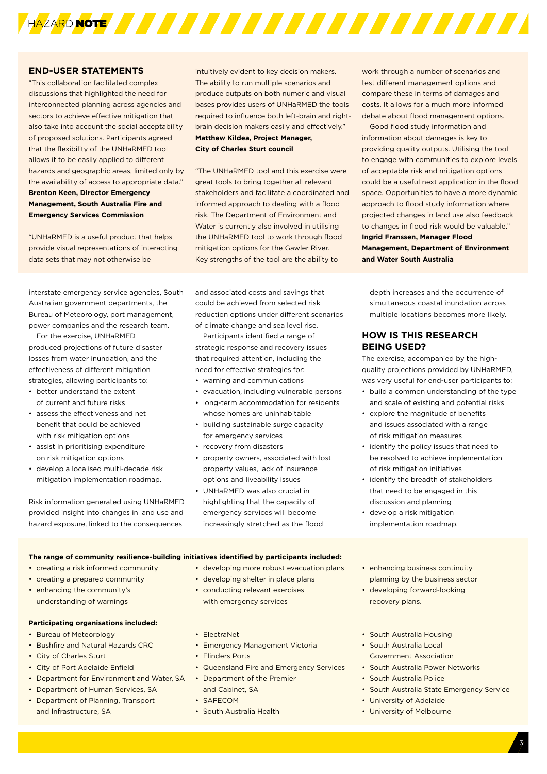

#### **END-USER STATEMENTS**

"This collaboration facilitated complex discussions that highlighted the need for interconnected planning across agencies and sectors to achieve effective mitigation that also take into account the social acceptability of proposed solutions. Participants agreed that the flexibility of the UNHaRMED tool allows it to be easily applied to different hazards and geographic areas, limited only by the availability of access to appropriate data." **Brenton Keen, Director Emergency Management, South Australia Fire and Emergency Services Commission**

"UNHaRMED is a useful product that helps provide visual representations of interacting data sets that may not otherwise be

intuitively evident to key decision makers. The ability to run multiple scenarios and produce outputs on both numeric and visual bases provides users of UNHaRMED the tools required to influence both left-brain and rightbrain decision makers easily and effectively." **Matthew Kildea, Project Manager, City of Charles Sturt council**

"The UNHaRMED tool and this exercise were great tools to bring together all relevant stakeholders and facilitate a coordinated and informed approach to dealing with a flood risk. The Department of Environment and Water is currently also involved in utilising the UNHaRMED tool to work through flood mitigation options for the Gawler River. Key strengths of the tool are the ability to

interstate emergency service agencies, South Australian government departments, the Bureau of Meteorology, port management, power companies and the research team.

For the exercise, UNHaRMED produced projections of future disaster losses from water inundation, and the effectiveness of different mitigation strategies, allowing participants to:

- better understand the extent of current and future risks
- assess the effectiveness and net benefit that could be achieved with risk mitigation options
- assist in prioritising expenditure on risk mitigation options
- develop a localised multi-decade risk mitigation implementation roadmap.

Risk information generated using UNHaRMED provided insight into changes in land use and hazard exposure, linked to the consequences

and associated costs and savings that could be achieved from selected risk reduction options under different scenarios of climate change and sea level rise.

Participants identified a range of strategic response and recovery issues that required attention, including the need for effective strategies for:

- warning and communications
- evacuation, including vulnerable persons
- long-term accommodation for residents whose homes are uninhabitable
- building sustainable surge capacity for emergency services
- recovery from disasters
- property owners, associated with lost property values, lack of insurance options and liveability issues
- UNHaRMED was also crucial in highlighting that the capacity of emergency services will become increasingly stretched as the flood

work through a number of scenarios and test different management options and compare these in terms of damages and costs. It allows for a much more informed debate about flood management options.

Good flood study information and information about damages is key to providing quality outputs. Utilising the tool to engage with communities to explore levels of acceptable risk and mitigation options could be a useful next application in the flood space. Opportunities to have a more dynamic approach to flood study information where projected changes in land use also feedback to changes in flood risk would be valuable." **Ingrid Franssen, Manager Flood Management, Department of Environment and Water South Australia**

depth increases and the occurrence of simultaneous coastal inundation across multiple locations becomes more likely.

# **HOW IS THIS RESEARCH BEING USED?**

The exercise, accompanied by the highquality projections provided by UNHaRMED, was very useful for end-user participants to:

- build a common understanding of the type and scale of existing and potential risks
- explore the magnitude of benefits and issues associated with a range of risk mitigation measures
- identify the policy issues that need to be resolved to achieve implementation of risk mitigation initiatives
- identify the breadth of stakeholders that need to be engaged in this discussion and planning
- develop a risk mitigation implementation roadmap.

#### **The range of community resilience-building initiatives identified by participants included:**

- creating a risk informed community
- creating a prepared community
- enhancing the community's understanding of warnings

#### **Participating organisations included:**

- Bureau of Meteorology
- Bushfire and Natural Hazards CRC
- City of Charles Sturt
- City of Port Adelaide Enfield
- Department for Environment and Water, SA
- Department of Human Services, SA
- Department of Planning, Transport and Infrastructure, SA
- developing more robust evacuation plans
- developing shelter in place plans
- conducting relevant exercises with emergency services
- ElectraNet
- Emergency Management Victoria
- Flinders Ports
- Queensland Fire and Emergency Services
- Department of the Premier and Cabinet, SA
- SAFECOM
- South Australia Health
- enhancing business continuity planning by the business sector
- developing forward-looking recovery plans.
- South Australia Housing
- **South Australia Local** Government Association
- South Australia Power Networks
- South Australia Police
- South Australia State Emergency Service
- University of Adelaide
- University of Melbourne